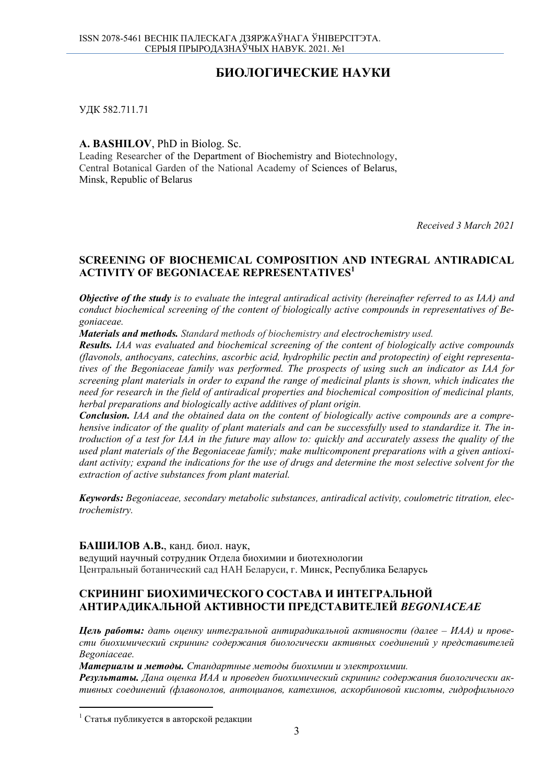# **БИОЛОГИЧЕСКИЕ НАУКИ**

УДК 582.711.71

**A. BASHILOV**, PhD in Biolog. Sc.

Leading Researcher of the Department of Biochemistry and Biotechnology, Central Botanical Garden of the National Academy of Sciences of Belarus, Minsk, Republic of Belarus

*Received 3 March 2021* 

## **SCREENING OF BIOCHEMICAL COMPOSITION AND INTEGRAL ANTIRADICAL ACTIVITY OF BEGONIACEAE REPRESENTATIVES<sup>1</sup>**

*Objective of the study is to evaluate the integral antiradical activity (hereinafter referred to as IAA) and conduct biochemical screening of the content of biologically active compounds in representatives of Begoniaceae.* 

*Materials and methods. Standard methods of biochemistry and electrochemistry used.* 

*Results. IAA was evaluated and biochemical screening of the content of biologically active compounds (flavonols, anthocyans, catechins, ascorbic acid, hydrophilic pectin and protopectin) of eight representatives of the Begoniaceae family was performed. The prospects of using such an indicator as IAA for screening plant materials in order to expand the range of medicinal plants is shown, which indicates the need for research in the field of antiradical properties and biochemical composition of medicinal plants, herbal preparations and biologically active additives of plant origin.* 

*Conclusion. IAA and the obtained data on the content of biologically active compounds are a comprehensive indicator of the quality of plant materials and can be successfully used to standardize it. The introduction of a test for IAA in the future may allow to: quickly and accurately assess the quality of the used plant materials of the Begoniaceae family; make multicomponent preparations with a given antioxidant activity; expand the indications for the use of drugs and determine the most selective solvent for the extraction of active substances from plant material.* 

*Keywords: Begoniaceae, secondary metabolic substances, antiradical activity, coulometric titration, electrochemistry.* 

### **БАШИЛОВ А.В.**, канд. биол. наук,

ведущий научный сотрудник Отдела биохимии и биотехнологии Центральный ботанический сад НАН Беларуси, г. Минск, Республика Беларусь

# **СКРИНИНГ БИОХИМИЧЕСКОГО СОСТАВА И ИНТЕГРАЛЬНОЙ АНТИРАДИКАЛЬНОЙ АКТИВНОСТИ ПРЕДСТАВИТЕЛЕЙ** *BEGONIACEAE*

*Цель работы: дать оценку интегральной антирадикальной активности (далее – ИАА) и провести биохимический скрининг содержания биологически активных соединений у представителей Begoniaceae.* 

*Материалы и методы. Стандартные методы биохимии и электрохимии.* 

*Результаты. Дана оценка ИАА и проведен биохимический скрининг содержания биологически активных соединений (флавонолов, антоцианов, катехинов, аскорбиновой кислоты, гидрофильного*

 $1$  Статья публикуется в авторской редакции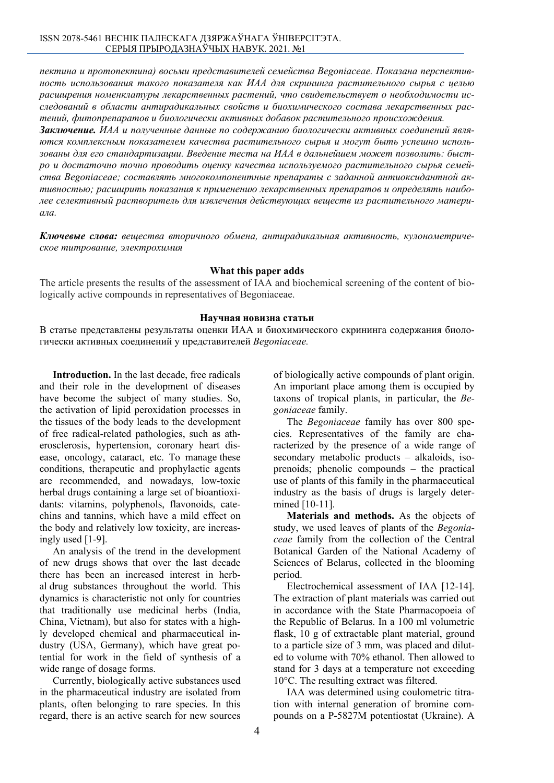*пектина и протопектина) восьми представителей семейства Begoniaceae. Показана перспективность использования такого показателя как ИАА для скрининга растительного сырья с целью расширения номенклатуры лекарственных растений, что свидетельствует о необходимости исследований в области антирадикальных свойств и биохимического состава лекарственных растений, фитопрепаратов и биологически активных добавок растительного происхождения.* 

*Заключение. ИАА и полученные данные по содержанию биологически активных соединений являются комплексным показателем качества растительного сырья и могут быть успешно использованы для его стандартизации. Введение теста на ИАА в дальнейшем может позволить: быстро и достаточно точно проводить оценку качества используемого растительного сырья семейства Begoniaceae; составлять многокомпонентные препараты с заданной антиоксидантной активностью; расширить показания к применению лекарственных препаратов и определять наиболее селективный растворитель для извлечения действующих веществ из растительного материала.* 

*Ключевые слова: вещества вторичного обмена, антирадикальная активность, кулонометрическое титрование, электрохимия*

#### **What this paper adds**

The article presents the results of the assessment of IAA and biochemical screening of the content of biologically active compounds in representatives of Begoniaceae.

#### **Научная новизна статьи**

В статье представлены результаты оценки ИАА и биохимического скрининга содержания биологически активных соединений у представителей *Begoniaceae.*

**Introduction.** In the last decade, free radicals and their role in the development of diseases have become the subject of many studies. So, the activation of lipid peroxidation processes in the tissues of the body leads to the development of free radical-related pathologies, such as atherosclerosis, hypertension, coronary heart disease, oncology, cataract, etc. To manage these conditions, therapeutic and prophylactic agents are recommended, and nowadays, low-toxic herbal drugs containing a large set of bioantioxidants: vitamins, polyphenols, flavonoids, catechins and tannins, which have a mild effect on the body and relatively low toxicity, are increasingly used [1-9].

An analysis of the trend in the development of new drugs shows that over the last decade there has been an increased interest in herbal drug substances throughout the world. This dynamics is characteristic not only for countries that traditionally use medicinal herbs (India, China, Vietnam), but also for states with a highly developed chemical and pharmaceutical industry (USA, Germany), which have great potential for work in the field of synthesis of a wide range of dosage forms.

Currently, biologically active substances used in the pharmaceutical industry are isolated from plants, often belonging to rare species. In this regard, there is an active search for new sources

of biologically active compounds of plant origin. An important place among them is occupied by taxons of tropical plants, in particular, the *Begoniaceae* family.

The *Begoniaceae* family has over 800 species. Representatives of the family are characterized by the presence of a wide range of secondary metabolic products – alkaloids, isoprenoids; phenolic compounds – the practical use of plants of this family in the pharmaceutical industry as the basis of drugs is largely determined [10-11].

**Materials and methods.** As the objects of study, we used leaves of plants of the *Begoniaceae* family from the collection of the Central Botanical Garden of the National Academy of Sciences of Belarus, collected in the blooming period.

Electrochemical assessment of IAA [12-14]. The extraction of plant materials was carried out in accordance with the State Pharmacopoeia of the Republic of Belarus. In a 100 ml volumetric flask, 10 g of extractable plant material, ground to a particle size of 3 mm, was placed and diluted to volume with 70% ethanol. Then allowed to stand for 3 days at a temperature not exceeding 10°C. The resulting extract was filtered.

IAA was determined using coulometric titration with internal generation of bromine compounds on a P-5827M potentiostat (Ukraine). A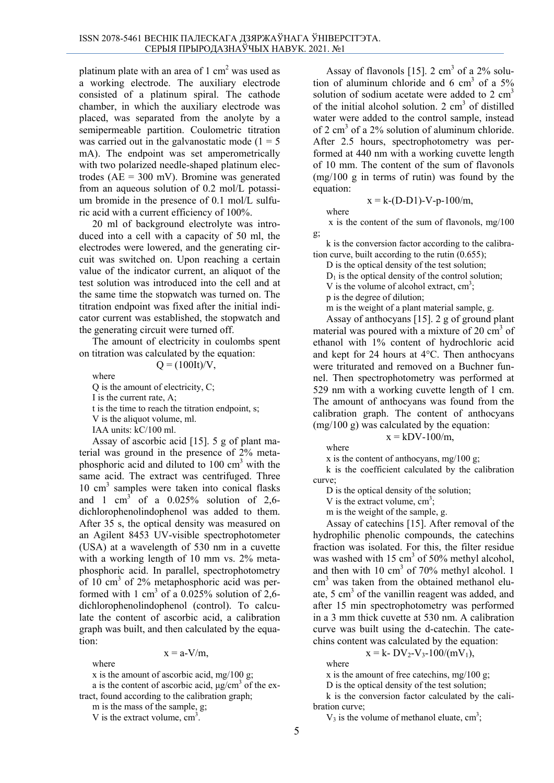platinum plate with an area of 1 cm<sup>2</sup> was used as a working electrode. The auxiliary electrode consisted of a platinum spiral. The cathode chamber, in which the auxiliary electrode was placed, was separated from the anolyte by a semipermeable partition. Coulometric titration was carried out in the galvanostatic mode  $(1 = 5$ mA). The endpoint was set amperometrically with two polarized needle-shaped platinum electrodes ( $AE = 300$  mV). Bromine was generated from an aqueous solution of 0.2 mol/L potassium bromide in the presence of 0.1 mol/L sulfuric acid with a current efficiency of 100%.

20 ml of background electrolyte was introduced into a cell with a capacity of 50 ml, the electrodes were lowered, and the generating circuit was switched on. Upon reaching a certain value of the indicator current, an aliquot of the test solution was introduced into the cell and at the same time the stopwatch was turned on. The titration endpoint was fixed after the initial indicator current was established, the stopwatch and the generating circuit were turned off.

The amount of electricity in coulombs spent on titration was calculated by the equation:

 $Q = (100It)/V$ .

where

Q is the amount of electricity, C; I is the current rate, A; t is the time to reach the titration endpoint, s; V is the aliquot volume, ml. IAA units: kC/100 ml. Assay of ascorbic acid [15]. 5 g of plant ma-

terial was ground in the presence of 2% metaphosphoric acid and diluted to 100 cm<sup>3</sup> with the same acid. The extract was centrifuged. Three 10 cm<sup>3</sup> samples were taken into conical flasks and 1 cm<sup>3</sup> of a  $0.025\%$  solution of 2,6dichlorophenolindophenol was added to them. After 35 s, the optical density was measured on an Agilent 8453 UV-visible spectrophotometer (USA) at a wavelength of 530 nm in a cuvette with a working length of 10 mm vs. 2% metaphosphoric acid. In parallel, spectrophotometry of  $10 \text{ cm}^3$  of  $2\%$  metaphosphoric acid was performed with 1 cm<sup>3</sup> of a 0.025% solution of 2,6dichlorophenolindophenol (control). To calculate the content of ascorbic acid, a calibration graph was built, and then calculated by the equation:

$$
x = a-V/m,
$$

where

x is the amount of ascorbic acid, mg/100 g;

a is the content of ascorbic acid,  $\mu$ g/cm<sup>3</sup> of the extract, found according to the calibration graph;

m is the mass of the sample, g;

V is the extract volume,  $cm<sup>3</sup>$ .

Assay of flavonols [15].  $2 \text{ cm}^3$  of a  $2\%$  solution of aluminum chloride and 6 cm<sup>3</sup> of a 5% solution of sodium acetate were added to  $2 \text{ cm}^3$ of the initial alcohol solution.  $2 \text{ cm}^3$  of distilled water were added to the control sample, instead of 2 cm<sup>3</sup> of a 2% solution of aluminum chloride. After 2.5 hours, spectrophotometry was performed at 440 nm with a working cuvette length of 10 mm. The content of the sum of flavonols (mg/100 g in terms of rutin) was found by the equation:  $x = k - (D-D1) - V - p - 100/m$ .

where

x is the content of the sum of flavonols, mg/100

g; k is the conversion factor according to the calibration curve, built according to the rutin (0.655);

D is the optical density of the test solution;

 $D_1$  is the optical density of the control solution;

V is the volume of alcohol extract,  $cm<sup>3</sup>$ ;

p is the degree of dilution;

m is the weight of a plant material sample, g.

Assay of anthocyans [15]. 2 g of ground plant material was poured with a mixture of 20 cm<sup>3</sup> of ethanol with 1% content of hydrochloric acid and kept for 24 hours at 4°C. Then anthocyans were triturated and removed on a Buchner funnel. Then spectrophotometry was performed at 529 nm with a working cuvette length of 1 cm. The amount of anthocyans was found from the calibration graph. The content of anthocyans  $(mg/100 g)$  was calculated by the equation:

where

x is the content of anthocyans, mg/100 g;

k is the coefficient calculated by the calibration curve;

 $x = kDV-100/m$ ,

D is the optical density of the solution;

V is the extract volume,  $cm<sup>3</sup>$ ;

m is the weight of the sample, g.

Assay of catechins [15]. After removal of the hydrophilic phenolic compounds, the catechins fraction was isolated. For this, the filter residue was washed with 15 cm<sup>3</sup> of 50% methyl alcohol, and then with 10 cm<sup>3</sup> of 70% methyl alcohol. 1 cm<sup>3</sup> was taken from the obtained methanol eluate, 5 cm<sup>3</sup> of the vanillin reagent was added, and after 15 min spectrophotometry was performed in a 3 mm thick cuvette at 530 nm. A calibration curve was built using the d-catechin. The catechins content was calculated by the equation:

 $x = k - DV_2 - V_3 - 100/(mV_1)$ ,

where

x is the amount of free catechins, mg/100 g;

D is the optical density of the test solution;

k is the conversion factor calculated by the calibration curve;

 $V_3$  is the volume of methanol eluate, cm<sup>3</sup>;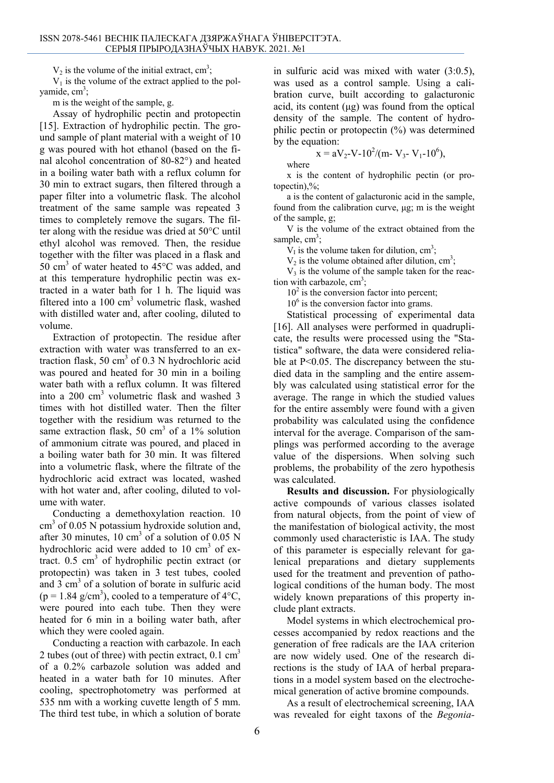$V_2$  is the volume of the initial extract, cm<sup>3</sup>;

 $V_1$  is the volume of the extract applied to the polyamide, cm<sup>3</sup>;

m is the weight of the sample, g.

Assay of hydrophilic pectin and protopectin [15]. Extraction of hydrophilic pectin. The ground sample of plant material with a weight of 10 g was poured with hot ethanol (based on the final alcohol concentration of 80-82°) and heated in a boiling water bath with a reflux column for 30 min to extract sugars, then filtered through a paper filter into a volumetric flask. The alcohol treatment of the same sample was repeated 3 times to completely remove the sugars. The filter along with the residue was dried at 50°C until ethyl alcohol was removed. Then, the residue together with the filter was placed in a flask and 50 cm<sup>3</sup> of water heated to  $45^{\circ}$ C was added, and at this temperature hydrophilic pectin was extracted in a water bath for 1 h. The liquid was filtered into a 100 cm<sup>3</sup> volumetric flask, washed with distilled water and, after cooling, diluted to volume.

Extraction of protopectin. The residue after extraction with water was transferred to an extraction flask, 50  $\text{cm}^3$  of 0.3 N hydrochloric acid was poured and heated for 30 min in a boiling water bath with a reflux column. It was filtered into a 200 cm<sup>3</sup> volumetric flask and washed 3 times with hot distilled water. Then the filter together with the residium was returned to the same extraction flask, 50  $\text{cm}^3$  of a 1% solution of ammonium citrate was poured, and placed in a boiling water bath for 30 min. It was filtered into a volumetric flask, where the filtrate of the hydrochloric acid extract was located, washed with hot water and, after cooling, diluted to volume with water.

Conducting a demethoxylation reaction. 10 cm<sup>3</sup> of 0.05 N potassium hydroxide solution and, after 30 minutes,  $10 \text{ cm}^3$  of a solution of 0.05 N hydrochloric acid were added to 10  $\text{cm}^3$  of extract.  $0.5 \text{ cm}^3$  of hydrophilic pectin extract (or protopectin) was taken in 3 test tubes, cooled and  $3 \text{ cm}^3$  of a solution of borate in sulfuric acid  $(p = 1.84 \text{ g/cm}^3)$ , cooled to a temperature of 4°C, were poured into each tube. Then they were heated for 6 min in a boiling water bath, after which they were cooled again.

Conducting a reaction with carbazole. In each 2 tubes (out of three) with pectin extract,  $0.1 \text{ cm}^3$ of a 0.2% carbazole solution was added and heated in a water bath for 10 minutes. After cooling, spectrophotometry was performed at 535 nm with a working cuvette length of 5 mm. The third test tube, in which a solution of borate

in sulfuric acid was mixed with water (3:0.5), was used as a control sample. Using a calibration curve, built according to galacturonic acid, its content (μg) was found from the optical density of the sample. The content of hydrophilic pectin or protopectin (%) was determined by the equation:

$$
x = aV_2 - V_0 - 10^2/(m - V_3 - V_1 - 10^6)
$$
,

where

x is the content of hydrophilic pectin (or protopectin), $\%$ ;

a is the content of galacturonic acid in the sample, found from the calibration curve, μg; m is the weight of the sample, g;

V is the volume of the extract obtained from the sample,  $cm^3$ ;

 $V<sub>I</sub>$  is the volume taken for dilution, cm<sup>3</sup>;

 $V_2$  is the volume obtained after dilution, cm<sup>3</sup>;

 $V_3$  is the volume of the sample taken for the reaction with carbazole,  $cm<sup>3</sup>$ ;

 $10<sup>2</sup>$  is the conversion factor into percent;

10<sup>6</sup> is the conversion factor into grams.

Statistical processing of experimental data [16]. All analyses were performed in quadruplicate, the results were processed using the "Statistica" software, the data were considered reliable at P<0.05. The discrepancy between the studied data in the sampling and the entire assembly was calculated using statistical error for the average. The range in which the studied values for the entire assembly were found with a given probability was calculated using the confidence interval for the average. Comparison of the samplings was performed according to the average value of the dispersions. When solving such problems, the probability of the zero hypothesis was calculated.

**Results and discussion.** For physiologically active compounds of various classes isolated from natural objects, from the point of view of the manifestation of biological activity, the most commonly used characteristic is IAA. The study of this parameter is especially relevant for galenical preparations and dietary supplements used for the treatment and prevention of pathological conditions of the human body. The most widely known preparations of this property include plant extracts.

Model systems in which electrochemical processes accompanied by redox reactions and the generation of free radicals are the IAA criterion are now widely used. One of the research directions is the study of IAA of herbal preparations in a model system based on the electrochemical generation of active bromine compounds.

As a result of electrochemical screening, IAA was revealed for eight taxons of the *Begonia-*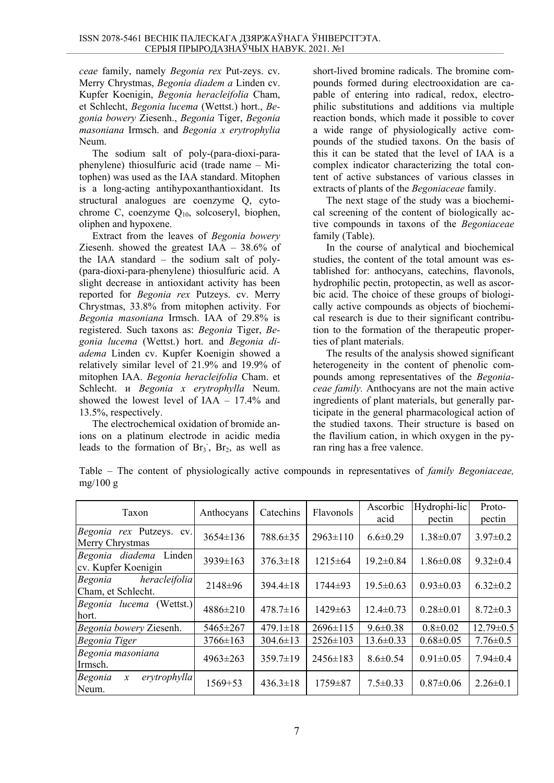*ceae* family, namely *Begonia rex* Put-zeys. cv. Merry Chrystmas, *Begonia diadem a* Linden cv. Kupfer Koenigin, *Begonia heracleifolia* Cham, et Schlecht, *Begonia lucema* (Wettst.) hort., *Begonia bowery* Ziesenh., *Begonia* Tiger, *Begonia masoniana* Irmsch. and *Begonia x erytrophylia*  Neum.

The sodium salt of poly-(para-dioxi-paraphenylene) thiosulfuric acid (trade name – Mitophen) was used as the IAA standard. Mitophen is a long-acting antihypoxanthantioxidant. Its structural analogues are coenzyme Q, cytochrome C, coenzyme  $Q_{10}$ , solcoseryl, biophen, oliphen and hypoxene.

Extract from the leaves of *Begonia bowery* Ziesenh. showed the greatest IAA – 38.6% of the IAA standard – the sodium salt of poly- (para-dioxi-para-phenylene) thiosulfuric acid. A slight decrease in antioxidant activity has been reported for *Begonia rex* Putzeys. cv. Merry Chrystmas, 33.8% from mitophen activity. For *Begonia masoniana* Irmsch. IAA of 29.8% is registered. Such taxons as: *Begonia* Tiger, *Begonia lucema* (Wettst.) hort. and *Begonia diadema* Linden cv. Kupfer Koenigin showed a relatively similar level of 21.9% and 19.9% of mitophen IAA. *Begonia heracleifolia* Cham. et Schlecht. и *Begonia x erytrophylla* Neum. showed the lowest level of IAA – 17.4% and 13.5%, respectively.

The electrochemical oxidation of bromide anions on a platinum electrode in acidic media leads to the formation of  $Br_3$ ,  $Br_2$ , as well as

short-lived bromine radicals. The bromine compounds formed during electrooxidation are capable of entering into radical, redox, electrophilic substitutions and additions via multiple reaction bonds, which made it possible to cover a wide range of physiologically active compounds of the studied taxons. On the basis of this it can be stated that the level of IAA is a complex indicator characterizing the total content of active substances of various classes in extracts of plants of the *Begoniaceae* family.

The next stage of the study was a biochemical screening of the content of biologically active compounds in taxons of the *Begoniaceae* family (Table).

In the course of analytical and biochemical studies, the content of the total amount was established for: anthocyans, catechins, flavonols, hydrophilic pectin, protopectin, as well as ascorbic acid. The choice of these groups of biologically active compounds as objects of biochemical research is due to their significant contribution to the formation of the therapeutic properties of plant materials.

The results of the analysis showed significant heterogeneity in the content of phenolic compounds among representatives of the *Begoniaceae family.* Anthocyans are not the main active ingredients of plant materials, but generally participate in the general pharmacological action of the studied taxons. Their structure is based on the flavilium cation, in which oxygen in the pyran ring has a free valence.

Table – The content of physiologically active compounds in representatives of *family Begoniaceae,*  mg/100 g

| Taxon                                             | Anthocyans     | Catechins      | Flavonols      | Ascorbic<br>acid | Hydrophi-lic<br>pectin | Proto-<br>pectin |
|---------------------------------------------------|----------------|----------------|----------------|------------------|------------------------|------------------|
| Begonia rex Putzeys. cv.<br>Merry Chrystmas       | $3654 \pm 136$ | 788.6±35       | $2963 \pm 110$ | $6.6 \pm 0.29$   | $1.38 \pm 0.07$        | $3.97 \pm 0.2$   |
| Linden<br>Begonia diadema<br>cv. Kupfer Koenigin  | 3939±163       | $376.3 \pm 18$ | $1215 \pm 64$  | $19.2 \pm 0.84$  | $1.86 \pm 0.08$        | $9.32 \pm 0.4$   |
| heracleifolia<br>Begonia<br>Cham, et Schlecht.    | 2148±96        | $394.4 \pm 18$ | 1744±93        | $19.5 \pm 0.63$  | $0.93 \pm 0.03$        | $6.32 \pm 0.2$   |
| (Wettst.)<br>Begonia lucema<br>hort.              | $4886 \pm 210$ | $478.7 \pm 16$ | $1429 \pm 63$  | $12.4 \pm 0.73$  | $0.28 \pm 0.01$        | $8.72 \pm 0.3$   |
| Begonia bowery Ziesenh.                           | $5465 \pm 267$ | $479.1 \pm 18$ | $2696 \pm 115$ | $9.6 \pm 0.38$   | $0.8 \pm 0.02$         | $12.79 \pm 0.5$  |
| Begonia Tiger                                     | $3766 \pm 163$ | $304.6 \pm 13$ | $2526 \pm 103$ | $13.6 \pm 0.33$  | $0.68 \pm 0.05$        | $7.76 \pm 0.5$   |
| Begonia masoniana<br>Irmsch.                      | $4963 \pm 263$ | $359.7\pm19$   | $2456 \pm 183$ | $8.6 \pm 0.54$   | $0.91 \pm 0.05$        | $7.94 \pm 0.4$   |
| erytrophylla<br>Begonia<br>$\mathcal{X}$<br>Neum. | $1569 + 53$    | $436.3 \pm 18$ | $1759 \pm 87$  | $7.5 \pm 0.33$   | $0.87 \pm 0.06$        | $2.26 \pm 0.1$   |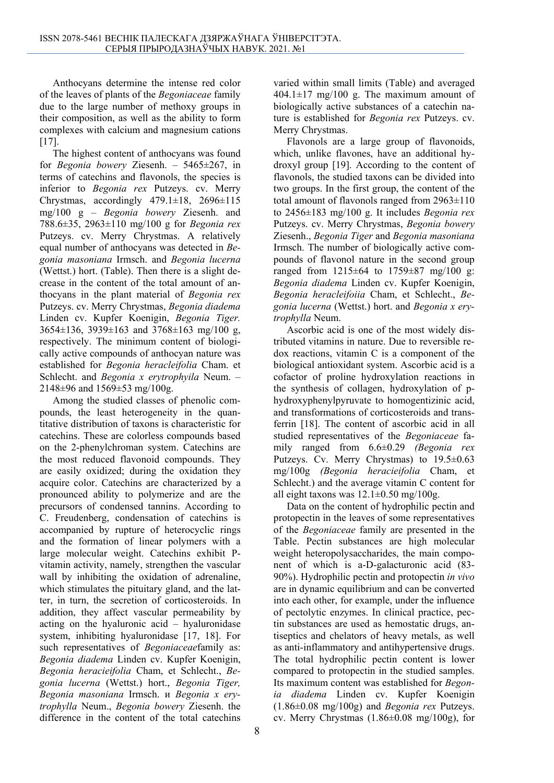Anthocyans determine the intense red color of the leaves of plants of the *Begoniaceae* family due to the large number of methoxy groups in their composition, as well as the ability to form complexes with calcium and magnesium cations [17].

The highest content of anthocyans was found for *Begonia bowery* Ziesenh. – 5465±267, in terms of catechins and flavonols, the species is inferior to *Begonia rex* Putzeys. cv. Merry Chrystmas, accordingly  $479.1 \pm 18$ ,  $2696 \pm 115$ mg/100 g – *Begonia bowery* Ziesenh. and 788.6±35, 2963±110 mg/100 g for *Begonia rex*  Putzeys. cv. Merry Chrystmas. A relatively equal number of anthocyans was detected in *Begonia masoniana* Irmsch. and *Begonia lucerna*  (Wettst.) hort. (Table). Then there is a slight decrease in the content of the total amount of anthocyans in the plant material of *Begonia rex* Putzeys. cv. Merry Chrystmas, *Begonia diadema*  Linden cv. Kupfer Koenigin, *Begonia Tiger.*  3654±136, 3939±163 and 3768±163 mg/100 g, respectively. The minimum content of biologically active compounds of anthocyan nature was established for *Begonia heracleifolia* Cham. et Schlecht. and *Begonia x erytrophyila* Neum. – 2148 $\pm$ 96 and 1569 $\pm$ 53 mg/100g.

Among the studied classes of phenolic compounds, the least heterogeneity in the quantitative distribution of taxons is characteristic for catechins. These are colorless compounds based on the 2-phenylchroman system. Catechins are the most reduced flavonoid compounds. They are easily oxidized; during the oxidation they acquire color. Catechins are characterized by a pronounced ability to polymerize and are the precursors of condensed tannins. According to C. Freudenberg, condensation of catechins is accompanied by rupture of heterocyclic rings and the formation of linear polymers with a large molecular weight. Catechins exhibit Pvitamin activity, namely, strengthen the vascular wall by inhibiting the oxidation of adrenaline, which stimulates the pituitary gland, and the latter, in turn, the secretion of corticosteroids. In addition, they affect vascular permeability by acting on the hyaluronic acid – hyaluronidase system, inhibiting hyaluronidase [17, 18]. For such representatives of *Begoniaceae*family as: *Begonia diadema* Linden cv. Kupfer Koenigin, *Begonia heracieifolia* Cham, et Schlecht., *Begonia lucerna* (Wettst.) hort., *Begonia Tiger, Begonia masoniana* Irmsch. и *Begonia x erytrophylla* Neum., *Begonia bowery* Ziesenh. the difference in the content of the total catechins

varied within small limits (Table) and averaged  $404.1 \pm 17$  mg/100 g. The maximum amount of biologically active substances of a catechin nature is established for *Begonia rex* Putzeys. cv. Merry Chrystmas.

Flavonols are a large group of flavonoids, which, unlike flavones, have an additional hydroxyl group [19]. According to the content of flavonols, the studied taxons can be divided into two groups. In the first group, the content of the total amount of flavonols ranged from  $2963\pm110$ to 2456±183 mg/100 g. It includes *Begonia rex*  Putzeys. cv. Merry Chrystmas, *Begonia bowery*  Ziesenh., *Begonia Tiger* and *Begonia masoniana*  Irmsch. The number of biologically active compounds of flavonol nature in the second group ranged from 1215±64 to 1759±87 mg/100 g: *Begonia diadema* Linden cv. Kupfer Koenigin, *Begonia heracleifoiia* Cham, et Schlecht., *Begonia lucerna* (Wettst.) hort. and *Begonia x erytrophylla* Neum.

Ascorbic acid is one of the most widely distributed vitamins in nature. Due to reversible redox reactions, vitamin C is a component of the biological antioxidant system. Ascorbic acid is a cofactor of proline hydroxylation reactions in the synthesis of collagen, hydroxylation of phydroxyphenylpyruvate to homogentizinic acid, and transformations of corticosteroids and transferrin [18]. The content of ascorbic acid in all studied representatives of the *Begoniaceae* family ranged from 6.6±0.29 *(Begonia rex* Putzeys. Cv. Merry Chrystmas) to 19.5±0.63 mg/100g *(Begonia heracieifolia* Cham, et Schlecht.) and the average vitamin C content for all eight taxons was  $12.1\pm0.50$  mg/100g.

Data on the content of hydrophilic pectin and protopectin in the leaves of some representatives of the *Begoniaceae* family are presented in the Table. Pectin substances are high molecular weight heteropolysaccharides, the main component of which is a-D-galacturonic acid (83- 90%). Hydrophilic pectin and protopectin *in vivo* are in dynamic equilibrium and can be converted into each other, for example, under the influence of pectolytic enzymes. In clinical practice, pectin substances are used as hemostatic drugs, antiseptics and chelators of heavy metals, as well as anti-inflammatory and antihypertensive drugs. The total hydrophilic pectin content is lower compared to protopectin in the studied samples. Its maximum content was established for *Begonia diadema* Linden cv. Kupfer Koenigin (1.86±0.08 mg/100g) and *Begonia rex* Putzeys. cv. Merry Chrystmas  $(1.86\pm0.08 \text{ mg}/100 \text{g})$ , for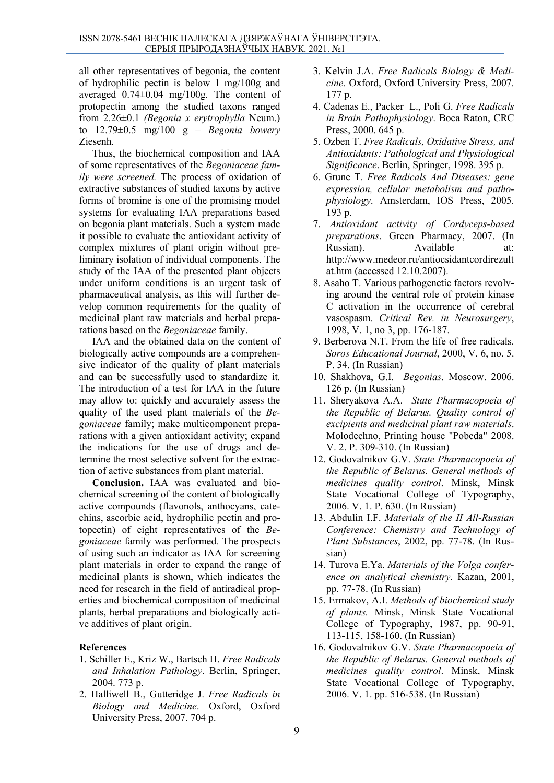all other representatives of begonia, the content of hydrophilic pectin is below 1 mg/100g and averaged 0.74±0.04 mg/100g. The content of protopectin among the studied taxons ranged from 2.26±0.1 *(Begonia x erytrophylla* Neum.) to 12.79±0.5 mg/100 g – *Begonia bowery*  Ziesenh.

Thus, the biochemical composition and IAA of some representatives of the *Begoniaceae family were screened.* The process of oxidation of extractive substances of studied taxons by active forms of bromine is one of the promising model systems for evaluating IAA preparations based on begonia plant materials. Such a system made it possible to evaluate the antioxidant activity of complex mixtures of plant origin without preliminary isolation of individual components. The study of the IAA of the presented plant objects under uniform conditions is an urgent task of pharmaceutical analysis, as this will further develop common requirements for the quality of medicinal plant raw materials and herbal preparations based on the *Begoniaceae* family.

IAA and the obtained data on the content of biologically active compounds are a comprehensive indicator of the quality of plant materials and can be successfully used to standardize it. The introduction of a test for IAA in the future may allow to: quickly and accurately assess the quality of the used plant materials of the *Begoniaceae* family; make multicomponent preparations with a given antioxidant activity; expand the indications for the use of drugs and determine the most selective solvent for the extraction of active substances from plant material.

**Conclusion.** IAA was evaluated and biochemical screening of the content of biologically active compounds (flavonols, anthocyans, catechins, ascorbic acid, hydrophilic pectin and protopectin) of eight representatives of the *Begoniaceae* family was performed*.* The prospects of using such an indicator as IAA for screening plant materials in order to expand the range of medicinal plants is shown, which indicates the need for research in the field of antiradical properties and biochemical composition of medicinal plants, herbal preparations and biologically active additives of plant origin.

### **References**

- 1. Schiller Е., Kriz W., Bartsch H. *Free Radicals and Inhalation Pathology*. Berlin, Springer, 2004. 773 p.
- 2. Halliwell B., Gutteridge J. *Free Radicals in Biology and Medicine*. Oxford, Oxford University Press, 2007. 704 p.
- 3. Kelvin J.A. *Free Radicals Biology & Medicine*. Oxford, Oxford University Press, 2007. 177 р.
- 4. Cadenas E., Packer L., Poli G. *Free Radicals in Brain Pathophysiology*. Boca Raton, CRC Press, 2000. 645 p.
- 5. Ozben T. *Free Radicals, Oxidative Stress, and Antioxidants: Pathological and Physiological Significance*. Berlin, Springer, 1998. 395 р.
- 6. Grune T. *Free Radicals And Diseases: gene expression, cellular metabolism and pathophysiology*. Amsterdam, IOS Press, 2005. 193 р.
- 7. *Antioxidant activity of Cordyceps-based preparations*. Green Pharmacy, 2007. (In Russian). Available at: http://www.medeor.ru/antiocsidantcordirezult at.htm (accessed 12.10.2007).
- 8. Asaho Т. Various pathogenetic factors revolving around the central role of protein kinase С activation in the occurrence of cerebral vasospasm. *Critical Rev. in Neurosurgery*, 1998, V. 1, no 3, pp. 176-187.
- 9. Berberova N.T. From the life of free radicals. *Soros Educational Journal*, 2000, V. 6, no. 5. P. 34. (In Russian)
- 10. Shakhova, G.I. *Begonias*. Moscow. 2006. 126 p. (In Russian)
- 11. Sheryakova A.A. *State Pharmacopoeia of the Republic of Belarus. Quality control of excipients and medicinal plant raw materials*. Molodechno, Printing house "Pobeda" 2008. V. 2. P. 309-310. (In Russian)
- 12. Godovalnikov G.V. *State Pharmacopoeia of the Republic of Belarus. General methods of medicines quality control*. Minsk, Minsk State Vocational College of Typography, 2006. V. 1. P. 630. (In Russian)
- 13. Abdulin I.F. *Materials of the II All-Russian Conference: Chemistry and Technology of Plant Substances*, 2002, pp. 77-78. (In Russian)
- 14. Turova E.Ya. *Materials of the Volga conference on analytical chemistry*. Kazan, 2001, pp. 77-78. (In Russian)
- 15. Ermakov, A.I. *Methods of biochemical study of plants.* Minsk, Minsk State Vocational College of Typography, 1987, pp. 90-91, 113-115, 158-160. (In Russian)
- 16. Godovalnikov G.V. *State Pharmacopoeia of the Republic of Belarus. General methods of medicines quality control*. Minsk, Minsk State Vocational College of Typography, 2006. V. 1. pp. 516-538. (In Russian)